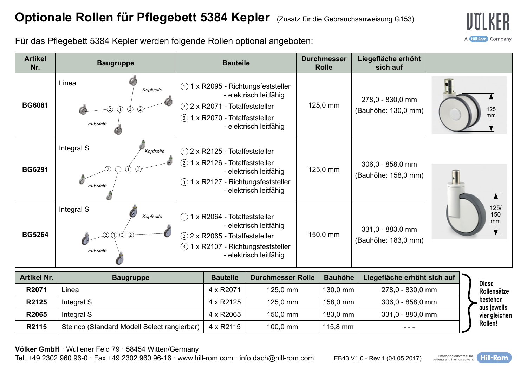

Für das Pflegebett 5384 Kepler werden folgende Rollen optional angeboten:

| <b>Artikel</b><br>Nr. | <b>Baugruppe</b>                                                            | <b>Bauteile</b>                                                                                                                                                          | <b>Durchmesser</b><br><b>Rolle</b> | Liegefläche erhöht<br>sich auf            |                   |
|-----------------------|-----------------------------------------------------------------------------|--------------------------------------------------------------------------------------------------------------------------------------------------------------------------|------------------------------------|-------------------------------------------|-------------------|
| <b>BG6081</b>         | Linea<br>Kopfseite<br>$\left( 2\right)$<br>$\circled{3}$<br>(1)<br>Fußseite | 1 x R2095 - Richtungsfeststeller<br>(1)<br>- elektrisch leitfähig<br>$(2)$ 2 x R2071 - Totalfeststeller<br>1 x R2070 - Totalfeststeller<br>(3)<br>- elektrisch leitfähig | 125,0 mm                           | 278,0 - 830,0 mm<br>(Bauhöhe: 130,0 mm)   | 125<br>mm         |
| <b>BG6291</b>         | Integral S<br>Kopfseite<br>Fußseite                                         | $(1)$ 2 x R2125 - Totalfeststeller<br>1 x R2126 - Totalfeststeller<br>(2)<br>- elektrisch leitfähig<br>1 x R2127 - Richtungsfeststeller<br>(3)<br>- elektrisch leitfähig | 125,0 mm                           | $306,0 - 858,0$ mm<br>(Bauhöhe: 158,0 mm) |                   |
| <b>BG5264</b>         | Integral S<br>Kopfseite<br>0 ©<br>ന<br>Fußseite                             | $(1)$ 1 x R2064 - Totalfeststeller<br>- elektrisch leitfähig<br>2 2 x R2065 - Totalfeststeller<br>1 x R2107 - Richtungsfeststeller<br>(3)<br>- elektrisch leitfähig      | 150,0 mm                           | 331,0 - 883,0 mm<br>(Bauhöhe: 183,0 mm)   | 125/<br>150<br>mm |

| <b>Artikel Nr.</b> | <b>Baugruppe</b>                            | <b>Bauteile</b> | <b>Durchmesser Rolle</b> | <b>Bauhöhe</b>     | Liegefläche erhöht sich auf |  |
|--------------------|---------------------------------------------|-----------------|--------------------------|--------------------|-----------------------------|--|
| R2071              | Linea                                       | 4 x R2071       | 125.0 mm                 | 130.0 mm           | 278,0 - 830,0 mm            |  |
| R2125              | Integral S                                  | 4 x R2125       | 125.0 mm                 | 158.0 mm           | 306,0 - 858,0 mm            |  |
| R2065              | Integral S                                  | 4 x R2065       | 150.0 mm                 | 183.0 mm           | 331,0 - 883,0 mm            |  |
| R2115              | Steinco (Standard Modell Select rangierbar) | 4 x R2115       | $100.0$ mm               | $115.8 \text{ mm}$ | $- - -$                     |  |

**Rollensätze bestehen aus jeweils leichen Rollen!** 

**Völker GmbH** · Wullener Feld 79 · 58454 Witten/Germany

Tel. +49 2302 960 96-0 · Fax +49 2302 960 96-16 · www.hill-rom.com · info.dach@hill-rom.com EB43 V1.0 - Rev.1 (04.05.2017)